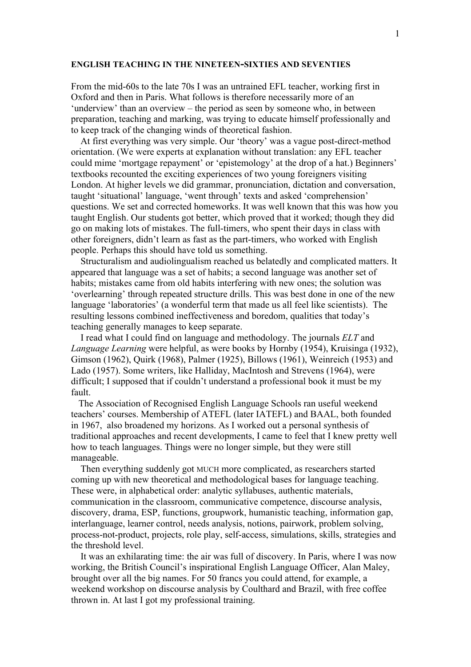## **ENGLISH TEACHING IN THE NINETEEN-SIXTIES AND SEVENTIES**

From the mid-60s to the late 70s I was an untrained EFL teacher, working first in Oxford and then in Paris. What follows is therefore necessarily more of an 'underview' than an overview – the period as seen by someone who, in between preparation, teaching and marking, was trying to educate himself professionally and to keep track of the changing winds of theoretical fashion.

 At first everything was very simple. Our 'theory' was a vague post-direct-method orientation. (We were experts at explanation without translation: any EFL teacher could mime 'mortgage repayment' or 'epistemology' at the drop of a hat.) Beginners' textbooks recounted the exciting experiences of two young foreigners visiting London. At higher levels we did grammar, pronunciation, dictation and conversation, taught 'situational' language, 'went through' texts and asked 'comprehension' questions. We set and corrected homeworks. It was well known that this was how you taught English. Our students got better, which proved that it worked; though they did go on making lots of mistakes. The full-timers, who spent their days in class with other foreigners, didn't learn as fast as the part-timers, who worked with English people. Perhaps this should have told us something.

 Structuralism and audiolingualism reached us belatedly and complicated matters. It appeared that language was a set of habits; a second language was another set of habits; mistakes came from old habits interfering with new ones; the solution was 'overlearning' through repeated structure drills. This was best done in one of the new language 'laboratories' (a wonderful term that made us all feel like scientists). The resulting lessons combined ineffectiveness and boredom, qualities that today's teaching generally manages to keep separate.

 I read what I could find on language and methodology. The journals *ELT* and *Language Learning* were helpful, as were books by Hornby (1954), Kruisinga (1932), Gimson (1962), Quirk (1968), Palmer (1925), Billows (1961), Weinreich (1953) and Lado (1957). Some writers, like Halliday, MacIntosh and Strevens (1964), were difficult; I supposed that if couldn't understand a professional book it must be my fault.

 The Association of Recognised English Language Schools ran useful weekend teachers' courses. Membership of ATEFL (later IATEFL) and BAAL, both founded in 1967, also broadened my horizons. As I worked out a personal synthesis of traditional approaches and recent developments, I came to feel that I knew pretty well how to teach languages. Things were no longer simple, but they were still manageable.

 Then everything suddenly got MUCH more complicated, as researchers started coming up with new theoretical and methodological bases for language teaching. These were, in alphabetical order: analytic syllabuses, authentic materials, communication in the classroom, communicative competence, discourse analysis, discovery, drama, ESP, functions, groupwork, humanistic teaching, information gap, interlanguage, learner control, needs analysis, notions, pairwork, problem solving, process-not-product, projects, role play, self-access, simulations, skills, strategies and the threshold level.

 It was an exhilarating time: the air was full of discovery. In Paris, where I was now working, the British Council's inspirational English Language Officer, Alan Maley, brought over all the big names. For 50 francs you could attend, for example, a weekend workshop on discourse analysis by Coulthard and Brazil, with free coffee thrown in. At last I got my professional training.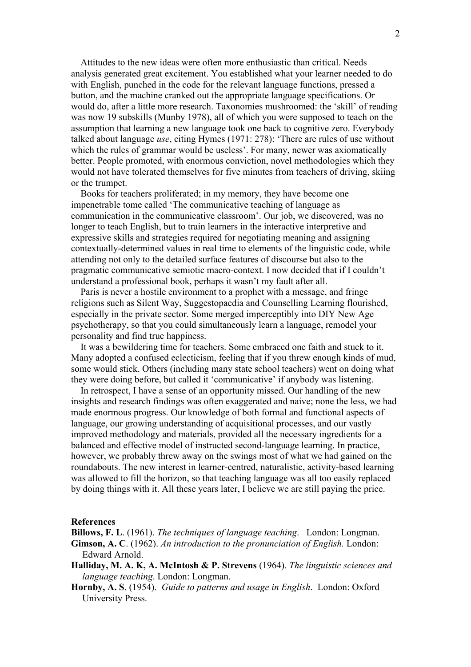Attitudes to the new ideas were often more enthusiastic than critical. Needs analysis generated great excitement. You established what your learner needed to do with English, punched in the code for the relevant language functions, pressed a button, and the machine cranked out the appropriate language specifications. Or would do, after a little more research. Taxonomies mushroomed: the 'skill' of reading was now 19 subskills (Munby 1978), all of which you were supposed to teach on the assumption that learning a new language took one back to cognitive zero. Everybody talked about language *use*, citing Hymes (1971: 278): 'There are rules of use without which the rules of grammar would be useless'. For many, newer was axiomatically better. People promoted, with enormous conviction, novel methodologies which they would not have tolerated themselves for five minutes from teachers of driving, skiing or the trumpet.

 Books for teachers proliferated; in my memory, they have become one impenetrable tome called 'The communicative teaching of language as communication in the communicative classroom'. Our job, we discovered, was no longer to teach English, but to train learners in the interactive interpretive and expressive skills and strategies required for negotiating meaning and assigning contextually-determined values in real time to elements of the linguistic code, while attending not only to the detailed surface features of discourse but also to the pragmatic communicative semiotic macro-context. I now decided that if I couldn't understand a professional book, perhaps it wasn't my fault after all.

 Paris is never a hostile environment to a prophet with a message, and fringe religions such as Silent Way, Suggestopaedia and Counselling Learning flourished, especially in the private sector. Some merged imperceptibly into DIY New Age psychotherapy, so that you could simultaneously learn a language, remodel your personality and find true happiness.

 It was a bewildering time for teachers. Some embraced one faith and stuck to it. Many adopted a confused eclecticism, feeling that if you threw enough kinds of mud, some would stick. Others (including many state school teachers) went on doing what they were doing before, but called it 'communicative' if anybody was listening.

 In retrospect, I have a sense of an opportunity missed. Our handling of the new insights and research findings was often exaggerated and naive; none the less, we had made enormous progress. Our knowledge of both formal and functional aspects of language, our growing understanding of acquisitional processes, and our vastly improved methodology and materials, provided all the necessary ingredients for a balanced and effective model of instructed second-language learning. In practice, however, we probably threw away on the swings most of what we had gained on the roundabouts. The new interest in learner-centred, naturalistic, activity-based learning was allowed to fill the horizon, so that teaching language was all too easily replaced by doing things with it. All these years later, I believe we are still paying the price.

## **References**

**Billows, F. L**. (1961). *The techniques of language teaching*. London: Longman. **Gimson, A. C**. (1962). *An introduction to the pronunciation of English.* London: Edward Arnold.

- **Halliday, M. A. K, A. McIntosh & P. Strevens** (1964). *The linguistic sciences and language teaching*. London: Longman.
- **Hornby, A. S**. (1954). *Guide to patterns and usage in English*. London: Oxford University Press.